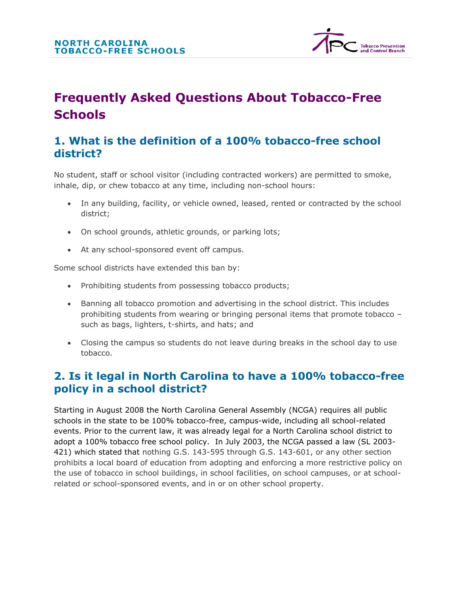

# **Frequently Asked Questions About Tobacco-Free Schools**

## **1. What is the definition of a 100% tobacco-free school district?**

No student, staff or school visitor (including contracted workers) are permitted to smoke, inhale, dip, or chew tobacco at any time, including non-school hours:

- In any building, facility, or vehicle owned, leased, rented or contracted by the school district;
- On school grounds, athletic grounds, or parking lots;
- At any school-sponsored event off campus.

Some school districts have extended this ban by:

- Prohibiting students from possessing tobacco products;
- Banning all tobacco promotion and advertising in the school district. This includes prohibiting students from wearing or bringing personal items that promote tobacco – such as bags, lighters, t-shirts, and hats; and
- Closing the campus so students do not leave during breaks in the school day to use tobacco.

## **2. Is it legal in North Carolina to have a 100% tobacco-free policy in a school district?**

Starting in August 2008 the North Carolina General Assembly (NCGA) requires all public schools in the state to be 100% tobacco-free, campus-wide, including all school-related events. Prior to the current law, it was already legal for a North Carolina school district to adopt a 100% tobacco free school policy. In July 2003, the NCGA passed a law (SL 2003- 421) which stated that nothing G.S. 143-595 through G.S. 143-601, or any other section prohibits a local board of education from adopting and enforcing a more restrictive policy on the use of tobacco in school buildings, in school facilities, on school campuses, or at schoolrelated or school-sponsored events, and in or on other school property.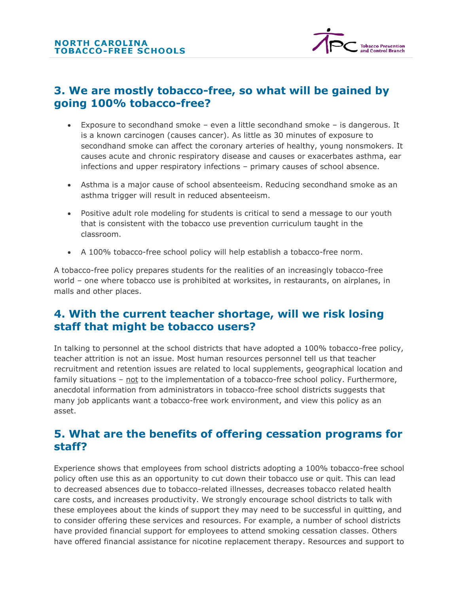

## **3. We are mostly tobacco-free, so what will be gained by going 100% tobacco-free?**

- Exposure to secondhand smoke even a little secondhand smoke is dangerous. It is a known carcinogen (causes cancer). As little as 30 minutes of exposure to secondhand smoke can affect the coronary arteries of healthy, young nonsmokers. It causes acute and chronic respiratory disease and causes or exacerbates asthma, ear infections and upper respiratory infections – primary causes of school absence.
- Asthma is a major cause of school absenteeism. Reducing secondhand smoke as an asthma trigger will result in reduced absenteeism.
- Positive adult role modeling for students is critical to send a message to our youth that is consistent with the tobacco use prevention curriculum taught in the classroom.
- A 100% tobacco-free school policy will help establish a tobacco-free norm.

A tobacco-free policy prepares students for the realities of an increasingly tobacco-free world – one where tobacco use is prohibited at worksites, in restaurants, on airplanes, in malls and other places.

#### **4. With the current teacher shortage, will we risk losing staff that might be tobacco users?**

In talking to personnel at the school districts that have adopted a 100% tobacco-free policy, teacher attrition is not an issue. Most human resources personnel tell us that teacher recruitment and retention issues are related to local supplements, geographical location and family situations – not to the implementation of a tobacco-free school policy. Furthermore, anecdotal information from administrators in tobacco-free school districts suggests that many job applicants want a tobacco-free work environment, and view this policy as an asset.

#### **5. What are the benefits of offering cessation programs for staff?**

Experience shows that employees from school districts adopting a 100% tobacco-free school policy often use this as an opportunity to cut down their tobacco use or quit. This can lead to decreased absences due to tobacco-related illnesses, decreases tobacco related health care costs, and increases productivity. We strongly encourage school districts to talk with these employees about the kinds of support they may need to be successful in quitting, and to consider offering these services and resources. For example, a number of school districts have provided financial support for employees to attend smoking cessation classes. Others have offered financial assistance for nicotine replacement therapy. Resources and support to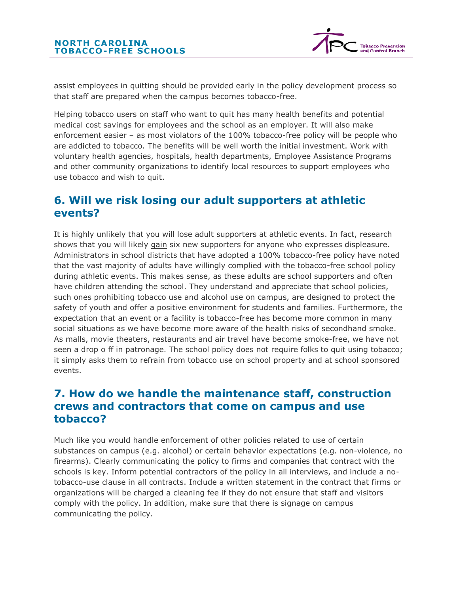

assist employees in quitting should be provided early in the policy development process so that staff are prepared when the campus becomes tobacco-free.

Helping tobacco users on staff who want to quit has many health benefits and potential medical cost savings for employees and the school as an employer. It will also make enforcement easier – as most violators of the 100% tobacco-free policy will be people who are addicted to tobacco. The benefits will be well worth the initial investment. Work with voluntary health agencies, hospitals, health departments, Employee Assistance Programs and other community organizations to identify local resources to support employees who use tobacco and wish to quit.

#### **6. Will we risk losing our adult supporters at athletic events?**

It is highly unlikely that you will lose adult supporters at athletic events. In fact, research shows that you will likely gain six new supporters for anyone who expresses displeasure. Administrators in school districts that have adopted a 100% tobacco-free policy have noted that the vast majority of adults have willingly complied with the tobacco-free school policy during athletic events. This makes sense, as these adults are school supporters and often have children attending the school. They understand and appreciate that school policies, such ones prohibiting tobacco use and alcohol use on campus, are designed to protect the safety of youth and offer a positive environment for students and families. Furthermore, the expectation that an event or a facility is tobacco-free has become more common in many social situations as we have become more aware of the health risks of secondhand smoke. As malls, movie theaters, restaurants and air travel have become smoke-free, we have not seen a drop o ff in patronage. The school policy does not require folks to quit using tobacco; it simply asks them to refrain from tobacco use on school property and at school sponsored events.

#### **7. How do we handle the maintenance staff, construction crews and contractors that come on campus and use tobacco?**

Much like you would handle enforcement of other policies related to use of certain substances on campus (e.g. alcohol) or certain behavior expectations (e.g. non-violence, no firearms). Clearly communicating the policy to firms and companies that contract with the schools is key. Inform potential contractors of the policy in all interviews, and include a notobacco-use clause in all contracts. Include a written statement in the contract that firms or organizations will be charged a cleaning fee if they do not ensure that staff and visitors comply with the policy. In addition, make sure that there is signage on campus communicating the policy.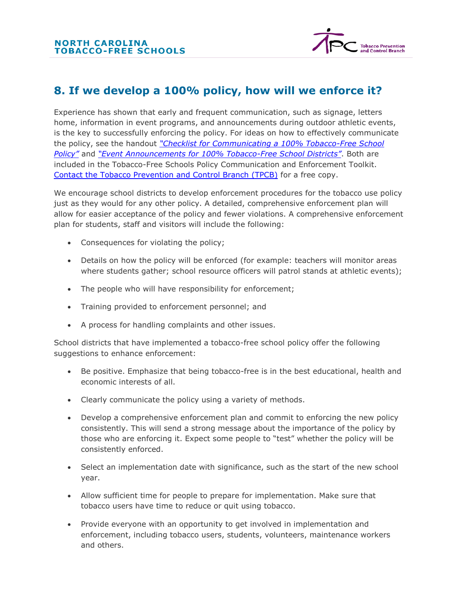

## **8. If we develop a 100% policy, how will we enforce it?**

Experience has shown that early and frequent communication, such as signage, letters home, information in event programs, and announcements during outdoor athletic events, is the key to successfully enforcing the policy. For ideas on how to effectively communicate the policy, see the handout *["Checklist for Communicating a 100% Tobacco](http://tfs.branddelivered.com/communicate/checklist.htm)-Free School [Policy"](http://tfs.branddelivered.com/communicate/checklist.htm)* and *["Event Announcements for 100% Tobacco](http://tfs.branddelivered.com/communicate/announcements.htm)-Free School Districts"*. Both are included in the Tobacco-Free Schools Policy Communication and Enforcement Toolkit. [Contact the Tobacco Prevention and Control Branch \(TPCB\)](http://tfs.branddelivered.com/contactus/index.htm) for a free copy.

We encourage school districts to develop enforcement procedures for the tobacco use policy just as they would for any other policy. A detailed, comprehensive enforcement plan will allow for easier acceptance of the policy and fewer violations. A comprehensive enforcement plan for students, staff and visitors will include the following:

- Consequences for violating the policy;
- Details on how the policy will be enforced (for example: teachers will monitor areas where students gather; school resource officers will patrol stands at athletic events);
- The people who will have responsibility for enforcement;
- Training provided to enforcement personnel; and
- A process for handling complaints and other issues.

School districts that have implemented a tobacco-free school policy offer the following suggestions to enhance enforcement:

- Be positive. Emphasize that being tobacco-free is in the best educational, health and economic interests of all.
- Clearly communicate the policy using a variety of methods.
- Develop a comprehensive enforcement plan and commit to enforcing the new policy consistently. This will send a strong message about the importance of the policy by those who are enforcing it. Expect some people to "test" whether the policy will be consistently enforced.
- Select an implementation date with significance, such as the start of the new school year.
- Allow sufficient time for people to prepare for implementation. Make sure that tobacco users have time to reduce or quit using tobacco.
- Provide everyone with an opportunity to get involved in implementation and enforcement, including tobacco users, students, volunteers, maintenance workers and others.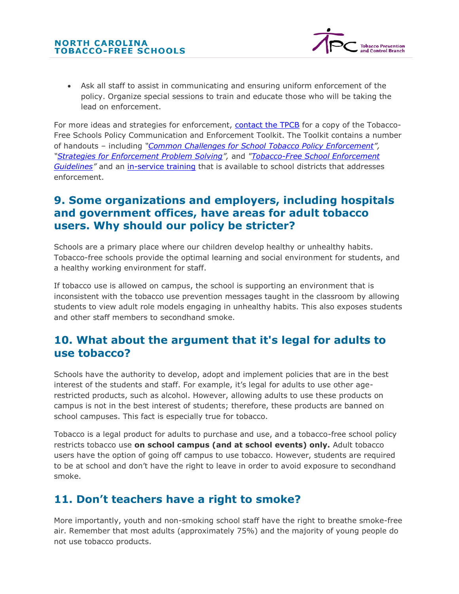

• Ask all staff to assist in communicating and ensuring uniform enforcement of the policy. Organize special sessions to train and educate those who will be taking the lead on enforcement.

For more ideas and strategies for enforcement, [contact the TPCB](http://tfs.branddelivered.com/contactus/index.htm) for a copy of the Tobacco-Free Schools Policy Communication and Enforcement Toolkit. The Toolkit contains a number of handouts – including *"[Common Challenges for School Tobacco Policy Enforcement](http://tfs.branddelivered.com/enforce/challenges.htm)", "[Strategies for Enforcement Problem Solving](http://tfs.branddelivered.com/enforce/probsolving.htm)",* and *["Tobacco-Free School Enforcement](http://tfs.branddelivered.com/enforce/guidelines.htm)  [Guidelines](http://tfs.branddelivered.com/enforce/guidelines.htm)"* and an [in-service training](http://tfs.branddelivered.com/enforce/inservice.htm) that is available to school districts that addresses enforcement.

## **9. Some organizations and employers, including hospitals and government offices, have areas for adult tobacco users. Why should our policy be stricter?**

Schools are a primary place where our children develop healthy or unhealthy habits. Tobacco-free schools provide the optimal learning and social environment for students, and a healthy working environment for staff.

If tobacco use is allowed on campus, the school is supporting an environment that is inconsistent with the tobacco use prevention messages taught in the classroom by allowing students to view adult role models engaging in unhealthy habits. This also exposes students and other staff members to secondhand smoke.

#### **10. What about the argument that it's legal for adults to use tobacco?**

Schools have the authority to develop, adopt and implement policies that are in the best interest of the students and staff. For example, it's legal for adults to use other agerestricted products, such as alcohol. However, allowing adults to use these products on campus is not in the best interest of students; therefore, these products are banned on school campuses. This fact is especially true for tobacco.

Tobacco is a legal product for adults to purchase and use, and a tobacco-free school policy restricts tobacco use **on school campus (and at school events) only.** Adult tobacco users have the option of going off campus to use tobacco. However, students are required to be at school and don't have the right to leave in order to avoid exposure to secondhand smoke.

# **11. Don't teachers have a right to smoke?**

More importantly, youth and non-smoking school staff have the right to breathe smoke-free air. Remember that most adults (approximately 75%) and the majority of young people do not use tobacco products.